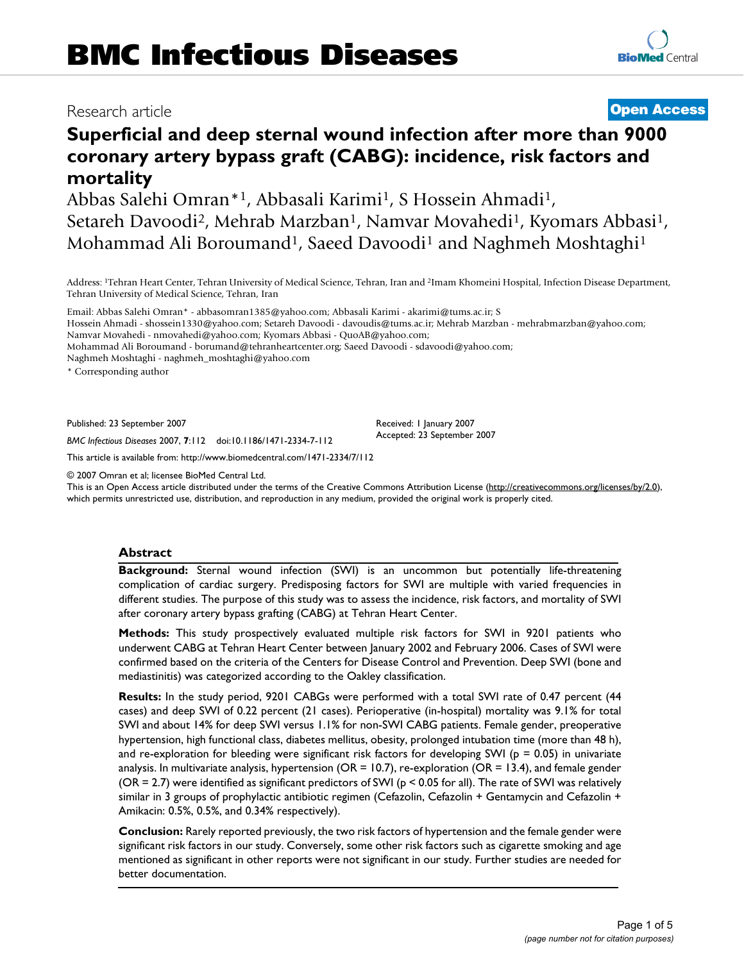# Research article **[Open Access](http://www.biomedcentral.com/info/about/charter/) Superficial and deep sternal wound infection after more than 9000 coronary artery bypass graft (CABG): incidence, risk factors and**

**mortality** Abbas Salehi Omran\*<sup>1</sup>, Abbasali Karimi<sup>1</sup>, S Hossein Ahmadi<sup>1</sup>, Setareh Davoodi<sup>2</sup>, Mehrab Marzban<sup>1</sup>, Namvar Movahedi<sup>1</sup>, Kyomars Abbasi<sup>1</sup>, Mohammad Ali Boroumand<sup>1</sup>, Saeed Davoodi<sup>1</sup> and Naghmeh Moshtaghi<sup>1</sup>

Address: 1Tehran Heart Center, Tehran University of Medical Science, Tehran, Iran and 2Imam Khomeini Hospital, Infection Disease Department, Tehran University of Medical Science, Tehran, Iran

Email: Abbas Salehi Omran\* - abbasomran1385@yahoo.com; Abbasali Karimi - akarimi@tums.ac.ir; S Hossein Ahmadi - shossein1330@yahoo.com; Setareh Davoodi - davoudis@tums.ac.ir; Mehrab Marzban - mehrabmarzban@yahoo.com; Namvar Movahedi - nmovahedi@yahoo.com; Kyomars Abbasi - QuoAB@yahoo.com; Mohammad Ali Boroumand - borumand@tehranheartcenter.org; Saeed Davoodi - sdavoodi@yahoo.com; Naghmeh Moshtaghi - naghmeh\_moshtaghi@yahoo.com

\* Corresponding author

Published: 23 September 2007

Received: 1 January 2007 Accepted: 23 September 2007

*BMC Infectious Diseases* 2007, **7**:112 doi:10.1186/1471-2334-7-112 [This article is available from: http://www.biomedcentral.com/1471-2334/7/112](http://www.biomedcentral.com/1471-2334/7/112)

© 2007 Omran et al; licensee BioMed Central Ltd.

This is an Open Access article distributed under the terms of the Creative Commons Attribution License [\(http://creativecommons.org/licenses/by/2.0\)](http://creativecommons.org/licenses/by/2.0), which permits unrestricted use, distribution, and reproduction in any medium, provided the original work is properly cited.

#### **Abstract**

**Background:** Sternal wound infection (SWI) is an uncommon but potentially life-threatening complication of cardiac surgery. Predisposing factors for SWI are multiple with varied frequencies in different studies. The purpose of this study was to assess the incidence, risk factors, and mortality of SWI after coronary artery bypass grafting (CABG) at Tehran Heart Center.

**Methods:** This study prospectively evaluated multiple risk factors for SWI in 9201 patients who underwent CABG at Tehran Heart Center between January 2002 and February 2006. Cases of SWI were confirmed based on the criteria of the Centers for Disease Control and Prevention. Deep SWI (bone and mediastinitis) was categorized according to the Oakley classification.

**Results:** In the study period, 9201 CABGs were performed with a total SWI rate of 0.47 percent (44 cases) and deep SWI of 0.22 percent (21 cases). Perioperative (in-hospital) mortality was 9.1% for total SWI and about 14% for deep SWI versus 1.1% for non-SWI CABG patients. Female gender, preoperative hypertension, high functional class, diabetes mellitus, obesity, prolonged intubation time (more than 48 h), and re-exploration for bleeding were significant risk factors for developing SWI ( $p = 0.05$ ) in univariate analysis. In multivariate analysis, hypertension ( $OR = 10.7$ ), re-exploration ( $OR = 13.4$ ), and female gender (OR = 2.7) were identified as significant predictors of SWI ( $p < 0.05$  for all). The rate of SWI was relatively similar in 3 groups of prophylactic antibiotic regimen (Cefazolin, Cefazolin + Gentamycin and Cefazolin + Amikacin: 0.5%, 0.5%, and 0.34% respectively).

**Conclusion:** Rarely reported previously, the two risk factors of hypertension and the female gender were significant risk factors in our study. Conversely, some other risk factors such as cigarette smoking and age mentioned as significant in other reports were not significant in our study. Further studies are needed for better documentation.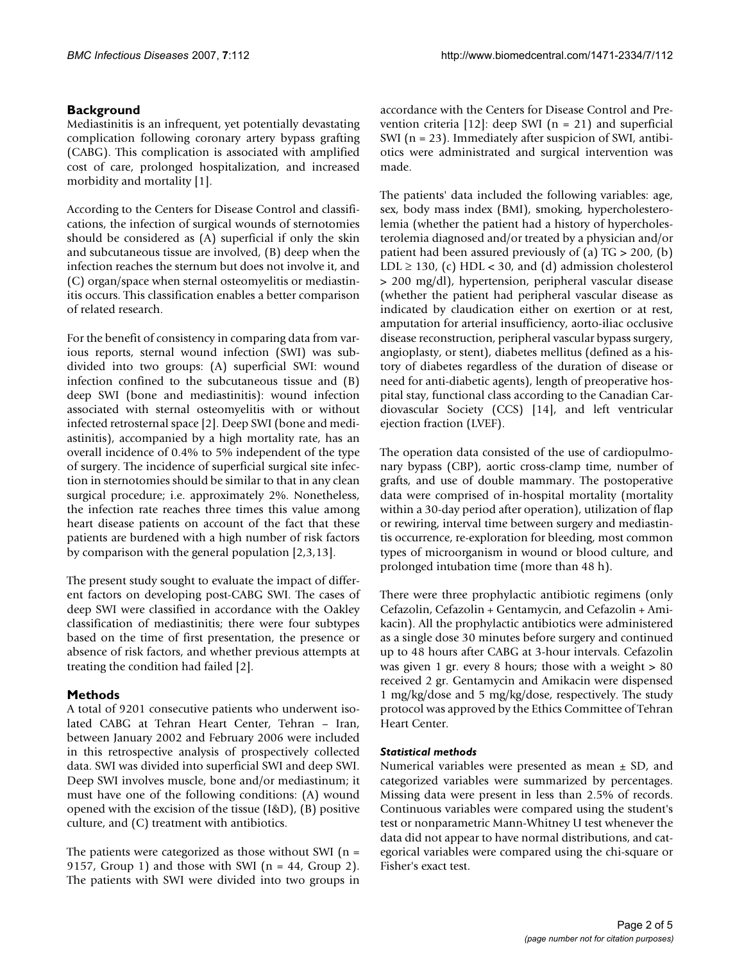# **Background**

Mediastinitis is an infrequent, yet potentially devastating complication following coronary artery bypass grafting (CABG). This complication is associated with amplified cost of care, prolonged hospitalization, and increased morbidity and mortality [1].

According to the Centers for Disease Control and classifications, the infection of surgical wounds of sternotomies should be considered as (A) superficial if only the skin and subcutaneous tissue are involved, (B) deep when the infection reaches the sternum but does not involve it, and (C) organ/space when sternal osteomyelitis or mediastinitis occurs. This classification enables a better comparison of related research.

For the benefit of consistency in comparing data from various reports, sternal wound infection (SWI) was subdivided into two groups: (A) superficial SWI: wound infection confined to the subcutaneous tissue and (B) deep SWI (bone and mediastinitis): wound infection associated with sternal osteomyelitis with or without infected retrosternal space [2]. Deep SWI (bone and mediastinitis), accompanied by a high mortality rate, has an overall incidence of 0.4% to 5% independent of the type of surgery. The incidence of superficial surgical site infection in sternotomies should be similar to that in any clean surgical procedure; i.e. approximately 2%. Nonetheless, the infection rate reaches three times this value among heart disease patients on account of the fact that these patients are burdened with a high number of risk factors by comparison with the general population [2,3,13].

The present study sought to evaluate the impact of different factors on developing post-CABG SWI. The cases of deep SWI were classified in accordance with the Oakley classification of mediastinitis; there were four subtypes based on the time of first presentation, the presence or absence of risk factors, and whether previous attempts at treating the condition had failed [2].

# **Methods**

A total of 9201 consecutive patients who underwent isolated CABG at Tehran Heart Center, Tehran – Iran, between January 2002 and February 2006 were included in this retrospective analysis of prospectively collected data. SWI was divided into superficial SWI and deep SWI. Deep SWI involves muscle, bone and/or mediastinum; it must have one of the following conditions: (A) wound opened with the excision of the tissue (I&D), (B) positive culture, and (C) treatment with antibiotics.

The patients were categorized as those without SWI (n = 9157, Group 1) and those with SWI ( $n = 44$ , Group 2). The patients with SWI were divided into two groups in accordance with the Centers for Disease Control and Prevention criteria [12]: deep SWI ( $n = 21$ ) and superficial SWI (n = 23). Immediately after suspicion of SWI, antibiotics were administrated and surgical intervention was made.

The patients' data included the following variables: age, sex, body mass index (BMI), smoking, hypercholesterolemia (whether the patient had a history of hypercholesterolemia diagnosed and/or treated by a physician and/or patient had been assured previously of (a) TG > 200, (b) LDL  $\geq$  130, (c) HDL < 30, and (d) admission cholesterol > 200 mg/dl), hypertension, peripheral vascular disease (whether the patient had peripheral vascular disease as indicated by claudication either on exertion or at rest, amputation for arterial insufficiency, aorto-iliac occlusive disease reconstruction, peripheral vascular bypass surgery, angioplasty, or stent), diabetes mellitus (defined as a history of diabetes regardless of the duration of disease or need for anti-diabetic agents), length of preoperative hospital stay, functional class according to the Canadian Cardiovascular Society (CCS) [14], and left ventricular ejection fraction (LVEF).

The operation data consisted of the use of cardiopulmonary bypass (CBP), aortic cross-clamp time, number of grafts, and use of double mammary. The postoperative data were comprised of in-hospital mortality (mortality within a 30-day period after operation), utilization of flap or rewiring, interval time between surgery and mediastintis occurrence, re-exploration for bleeding, most common types of microorganism in wound or blood culture, and prolonged intubation time (more than 48 h).

There were three prophylactic antibiotic regimens (only Cefazolin, Cefazolin + Gentamycin, and Cefazolin + Amikacin). All the prophylactic antibiotics were administered as a single dose 30 minutes before surgery and continued up to 48 hours after CABG at 3-hour intervals. Cefazolin was given 1 gr. every 8 hours; those with a weight  $> 80$ received 2 gr. Gentamycin and Amikacin were dispensed 1 mg/kg/dose and 5 mg/kg/dose, respectively. The study protocol was approved by the Ethics Committee of Tehran Heart Center.

# *Statistical methods*

Numerical variables were presented as mean  $\pm$  SD, and categorized variables were summarized by percentages. Missing data were present in less than 2.5% of records. Continuous variables were compared using the student's test or nonparametric Mann-Whitney U test whenever the data did not appear to have normal distributions, and categorical variables were compared using the chi-square or Fisher's exact test.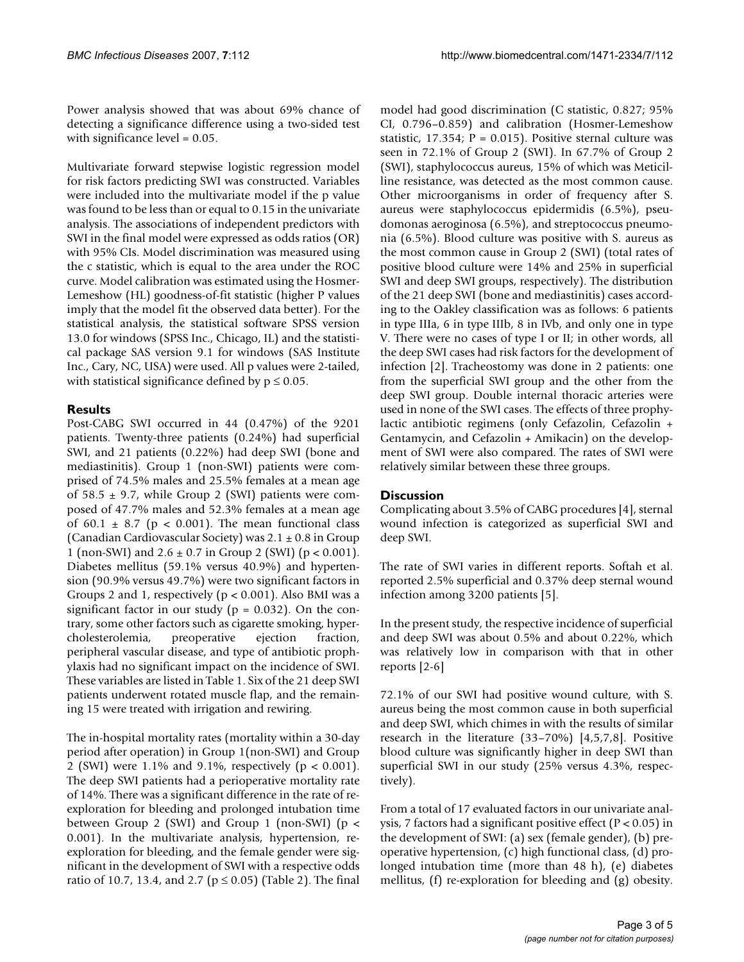Power analysis showed that was about 69% chance of detecting a significance difference using a two-sided test with significance level = 0.05.

Multivariate forward stepwise logistic regression model for risk factors predicting SWI was constructed. Variables were included into the multivariate model if the p value was found to be less than or equal to 0.15 in the univariate analysis. The associations of independent predictors with SWI in the final model were expressed as odds ratios (OR) with 95% CIs. Model discrimination was measured using the c statistic, which is equal to the area under the ROC curve. Model calibration was estimated using the Hosmer-Lemeshow (HL) goodness-of-fit statistic (higher P values imply that the model fit the observed data better). For the statistical analysis, the statistical software SPSS version 13.0 for windows (SPSS Inc., Chicago, IL) and the statistical package SAS version 9.1 for windows (SAS Institute Inc., Cary, NC, USA) were used. All p values were 2-tailed, with statistical significance defined by  $p \le 0.05$ .

# **Results**

Post-CABG SWI occurred in 44 (0.47%) of the 9201 patients. Twenty-three patients (0.24%) had superficial SWI, and 21 patients (0.22%) had deep SWI (bone and mediastinitis). Group 1 (non-SWI) patients were comprised of 74.5% males and 25.5% females at a mean age of 58.5  $\pm$  9.7, while Group 2 (SWI) patients were composed of 47.7% males and 52.3% females at a mean age of 60.1  $\pm$  8.7 (p < 0.001). The mean functional class (Canadian Cardiovascular Society) was  $2.1 \pm 0.8$  in Group 1 (non-SWI) and  $2.6 \pm 0.7$  in Group 2 (SWI) (p < 0.001). Diabetes mellitus (59.1% versus 40.9%) and hypertension (90.9% versus 49.7%) were two significant factors in Groups 2 and 1, respectively ( $p < 0.001$ ). Also BMI was a significant factor in our study ( $p = 0.032$ ). On the contrary, some other factors such as cigarette smoking, hypercholesterolemia, preoperative ejection fraction, peripheral vascular disease, and type of antibiotic prophylaxis had no significant impact on the incidence of SWI. These variables are listed in Table 1. Six of the 21 deep SWI patients underwent rotated muscle flap, and the remaining 15 were treated with irrigation and rewiring.

The in-hospital mortality rates (mortality within a 30-day period after operation) in Group 1(non-SWI) and Group 2 (SWI) were 1.1% and 9.1%, respectively (p < 0.001). The deep SWI patients had a perioperative mortality rate of 14%. There was a significant difference in the rate of reexploration for bleeding and prolonged intubation time between Group 2 (SWI) and Group 1 (non-SWI) ( $p <$ 0.001). In the multivariate analysis, hypertension, reexploration for bleeding, and the female gender were significant in the development of SWI with a respective odds ratio of 10.7, 13.4, and 2.7 ( $p \le 0.05$ ) (Table 2). The final

model had good discrimination (C statistic, 0.827; 95% CI, 0.796–0.859) and calibration (Hosmer-Lemeshow statistic, 17.354;  $P = 0.015$ ). Positive sternal culture was seen in 72.1% of Group 2 (SWI). In 67.7% of Group 2 (SWI), staphylococcus aureus, 15% of which was Meticilline resistance, was detected as the most common cause. Other microorganisms in order of frequency after S. aureus were staphylococcus epidermidis (6.5%), pseudomonas aeroginosa (6.5%), and streptococcus pneumonia (6.5%). Blood culture was positive with S. aureus as the most common cause in Group 2 (SWI) (total rates of positive blood culture were 14% and 25% in superficial SWI and deep SWI groups, respectively). The distribution of the 21 deep SWI (bone and mediastinitis) cases according to the Oakley classification was as follows: 6 patients in type IIIa, 6 in type IIIb, 8 in IVb, and only one in type V. There were no cases of type I or II; in other words, all the deep SWI cases had risk factors for the development of infection [2]. Tracheostomy was done in 2 patients: one from the superficial SWI group and the other from the deep SWI group. Double internal thoracic arteries were used in none of the SWI cases. The effects of three prophylactic antibiotic regimens (only Cefazolin, Cefazolin + Gentamycin, and Cefazolin + Amikacin) on the development of SWI were also compared. The rates of SWI were relatively similar between these three groups.

# **Discussion**

Complicating about 3.5% of CABG procedures [4], sternal wound infection is categorized as superficial SWI and deep SWI.

The rate of SWI varies in different reports. Softah et al. reported 2.5% superficial and 0.37% deep sternal wound infection among 3200 patients [5].

In the present study, the respective incidence of superficial and deep SWI was about 0.5% and about 0.22%, which was relatively low in comparison with that in other reports [2-6]

72.1% of our SWI had positive wound culture, with S. aureus being the most common cause in both superficial and deep SWI, which chimes in with the results of similar research in the literature (33–70%) [4,5,7,8]. Positive blood culture was significantly higher in deep SWI than superficial SWI in our study (25% versus 4.3%, respectively).

From a total of 17 evaluated factors in our univariate analysis, 7 factors had a significant positive effect (P < 0.05) in the development of SWI: (a) sex (female gender), (b) preoperative hypertension, (c) high functional class, (d) prolonged intubation time (more than 48 h), (e) diabetes mellitus, (f) re-exploration for bleeding and (g) obesity.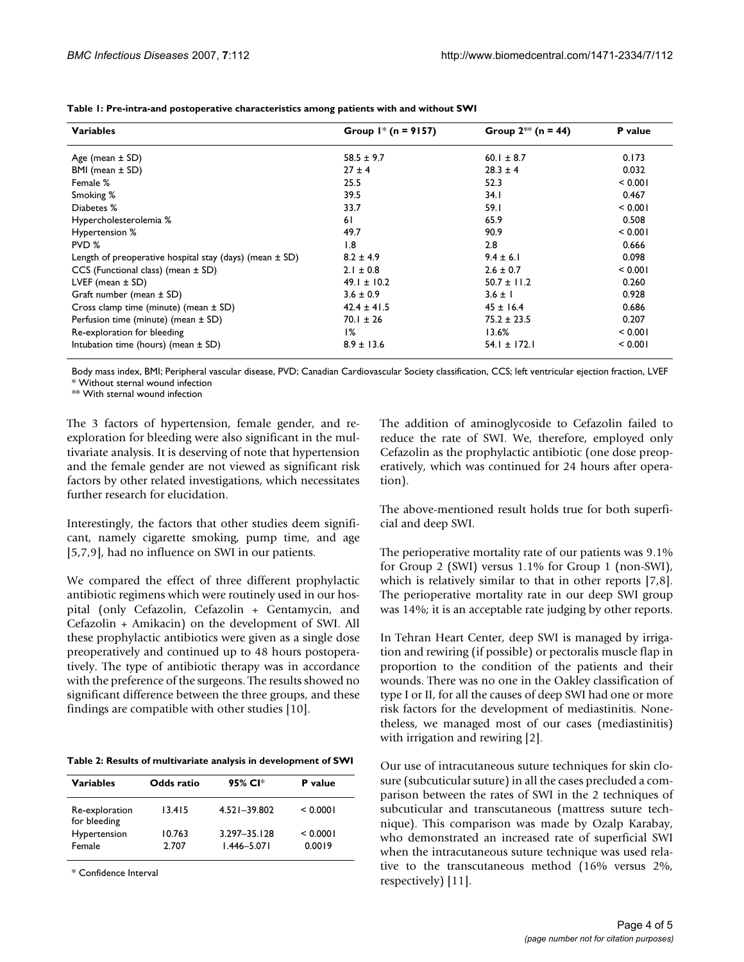| <b>Variables</b>                                            | Group $1$ <sup>*</sup> (n = 9157) | Group $2^{**}$ (n = 44) | P value |
|-------------------------------------------------------------|-----------------------------------|-------------------------|---------|
| Age (mean $\pm$ SD)                                         | $58.5 \pm 9.7$                    | $60.1 \pm 8.7$          | 0.173   |
| BMI (mean ± SD)                                             | $27 \pm 4$                        | $28.3 \pm 4$            | 0.032   |
| Female %                                                    | 25.5                              | 52.3                    | < 0.001 |
| Smoking %                                                   | 39.5                              | 34.1                    | 0.467   |
| Diabetes %                                                  | 33.7                              | 59.I                    | < 0.001 |
| Hypercholesterolemia %                                      | 61                                | 65.9                    | 0.508   |
| Hypertension %                                              | 49.7                              | 90.9                    | < 0.001 |
| PVD %                                                       | 1.8                               | 2.8                     | 0.666   |
| Length of preoperative hospital stay (days) (mean $\pm$ SD) | $8.2 \pm 4.9$                     | $9.4 \pm 6.1$           | 0.098   |
| $CCS$ (Functional class) (mean $\pm$ SD)                    | $2.1 \pm 0.8$                     | $2.6 \pm 0.7$           | < 0.001 |
| LVEF (mean $\pm$ SD)                                        | $49.1 \pm 10.2$                   | $50.7 \pm 11.2$         | 0.260   |
| Graft number (mean ± SD)                                    | $3.6 \pm 0.9$                     | $3.6 \pm 1$             | 0.928   |
| Cross clamp time (minute) (mean $\pm$ SD)                   | $42.4 \pm 41.5$                   | $45 \pm 16.4$           | 0.686   |
| Perfusion time (minute) (mean ± SD)                         | $70.1 \pm 26$                     | $75.2 \pm 23.5$         | 0.207   |
| Re-exploration for bleeding                                 | 1%                                | 13.6%                   | < 0.001 |
| Intubation time (hours) (mean $\pm$ SD)                     | $8.9 \pm 13.6$                    | $54.1 \pm 172.1$        | < 0.001 |

**Table 1: Pre-intra-and postoperative characteristics among patients with and without SWI**

Body mass index, BMI; Peripheral vascular disease, PVD; Canadian Cardiovascular Society classification, CCS; left ventricular ejection fraction, LVEF \* Without sternal wound infection

\*\* With sternal wound infection

The 3 factors of hypertension, female gender, and reexploration for bleeding were also significant in the multivariate analysis. It is deserving of note that hypertension and the female gender are not viewed as significant risk factors by other related investigations, which necessitates further research for elucidation.

Interestingly, the factors that other studies deem significant, namely cigarette smoking, pump time, and age [5,7,9], had no influence on SWI in our patients.

We compared the effect of three different prophylactic antibiotic regimens which were routinely used in our hospital (only Cefazolin, Cefazolin + Gentamycin, and Cefazolin + Amikacin) on the development of SWI. All these prophylactic antibiotics were given as a single dose preoperatively and continued up to 48 hours postoperatively. The type of antibiotic therapy was in accordance with the preference of the surgeons. The results showed no significant difference between the three groups, and these findings are compatible with other studies [10].

**Table 2: Results of multivariate analysis in development of SWI**

| <b>Variables</b>               | Odds ratio      | 95% CI*                             | P value            |
|--------------------------------|-----------------|-------------------------------------|--------------------|
| Re-exploration<br>for bleeding | 13.415          | 4.521-39.802                        | < 0.0001           |
| Hypertension<br>Female         | 10.763<br>2.707 | $3.297 - 35.128$<br>$1.446 - 5.071$ | < 0.0001<br>0.0019 |

\* Confidence Interval

The addition of aminoglycoside to Cefazolin failed to reduce the rate of SWI. We, therefore, employed only Cefazolin as the prophylactic antibiotic (one dose preoperatively, which was continued for 24 hours after operation).

The above-mentioned result holds true for both superficial and deep SWI.

The perioperative mortality rate of our patients was 9.1% for Group 2 (SWI) versus 1.1% for Group 1 (non-SWI), which is relatively similar to that in other reports [7,8]. The perioperative mortality rate in our deep SWI group was 14%; it is an acceptable rate judging by other reports.

In Tehran Heart Center, deep SWI is managed by irrigation and rewiring (if possible) or pectoralis muscle flap in proportion to the condition of the patients and their wounds. There was no one in the Oakley classification of type I or II, for all the causes of deep SWI had one or more risk factors for the development of mediastinitis. Nonetheless, we managed most of our cases (mediastinitis) with irrigation and rewiring [2].

Our use of intracutaneous suture techniques for skin closure (subcuticular suture) in all the cases precluded a comparison between the rates of SWI in the 2 techniques of subcuticular and transcutaneous (mattress suture technique). This comparison was made by Ozalp Karabay, who demonstrated an increased rate of superficial SWI when the intracutaneous suture technique was used relative to the transcutaneous method (16% versus 2%, respectively) [11].